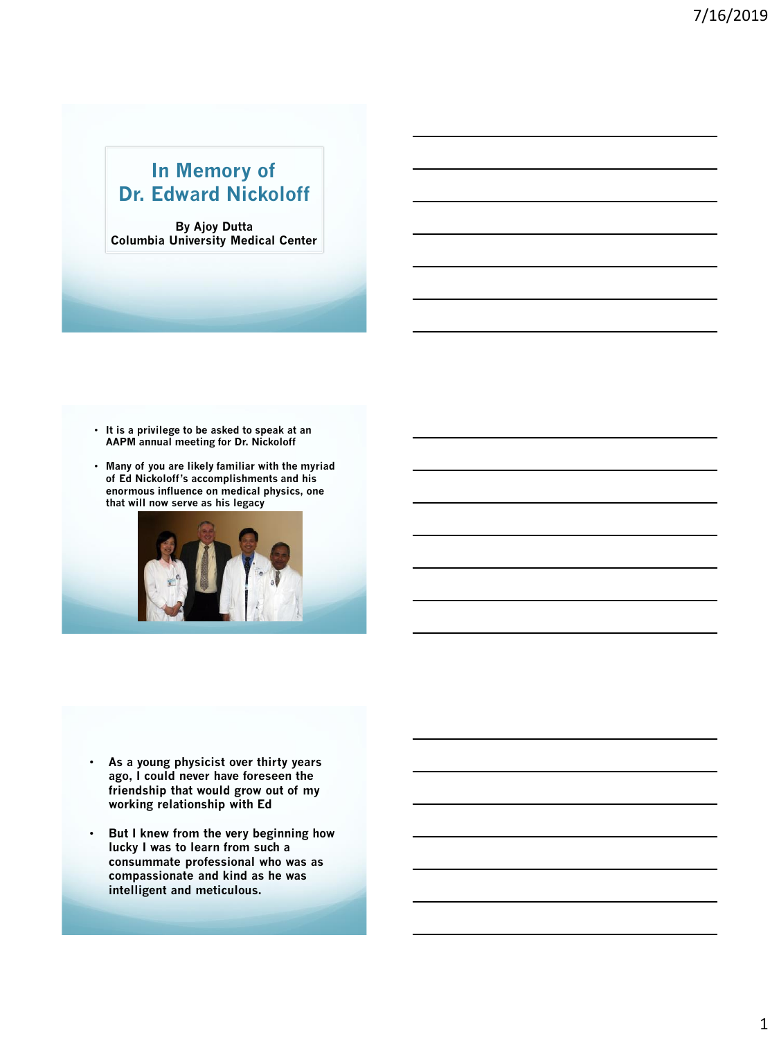## **In Memory of Dr. Edward Nickoloff**

**By Ajoy Dutta Columbia University Medical Center**

- **It is a privilege to be asked to speak at an AAPM annual meeting for Dr. Nickoloff**
- **Many of you are likely familiar with the myriad of Ed Nickoloff's accomplishments and his enormous influence on medical physics, one that will now serve as his legacy**



- **As a young physicist over thirty years ago, I could never have foreseen the friendship that would grow out of my working relationship with Ed**
- **But I knew from the very beginning how lucky I was to learn from such a consummate professional who was as compassionate and kind as he was intelligent and meticulous.**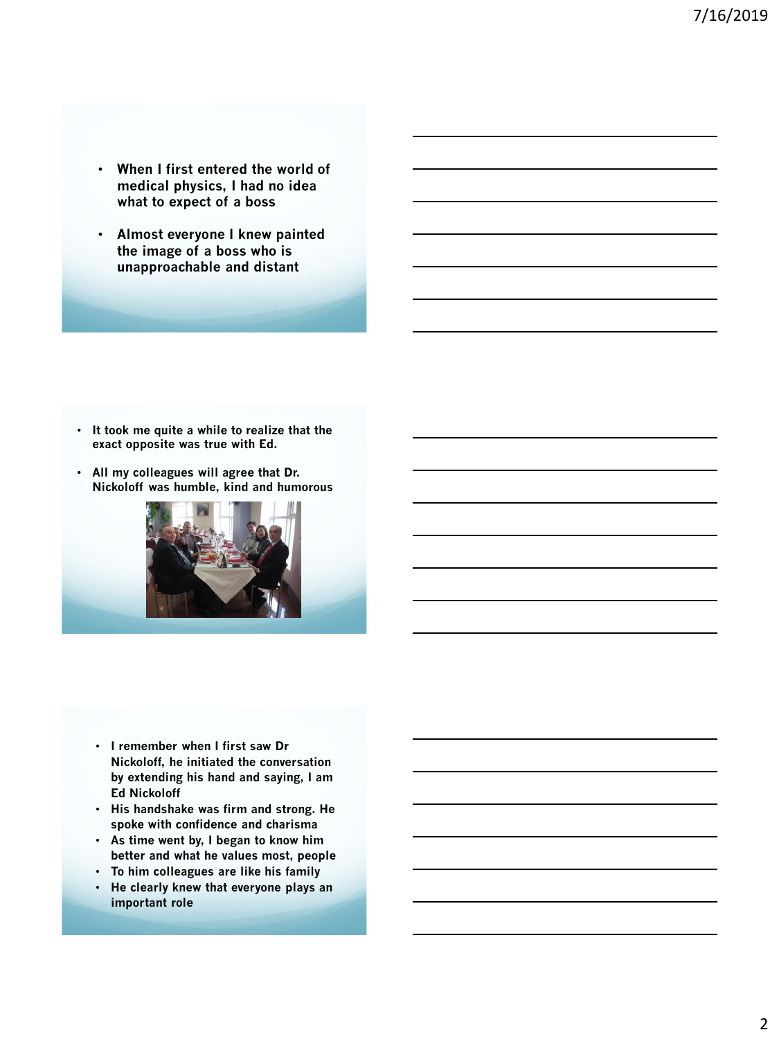- **When I first entered the world of medical physics, I had no idea what to expect of a boss**
- **Almost everyone I knew painted the image of a boss who is unapproachable and distant**

- **It took me quite a while to realize that the exact opposite was true with Ed.**
- **All my colleagues will agree that Dr. Nickoloff was humble, kind and humorous**



- **I remember when I first saw Dr Nickoloff, he initiated the conversation by extending his hand and saying, I am Ed Nickoloff**
- **His handshake was firm and strong. He spoke with confidence and charisma**
- **As time went by, I began to know him better and what he values most, people**
- **To him colleagues are like his family**
- **He clearly knew that everyone plays an important role**